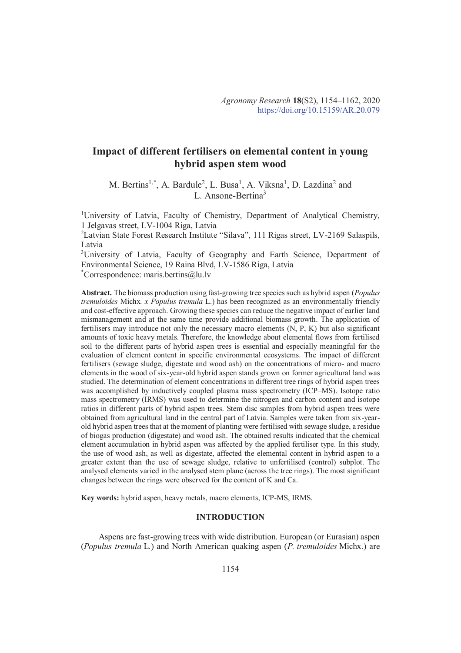# **Impact of different fertilisers on elemental content in young hybrid aspen stem wood**

M. Bertins<sup>1,\*</sup>, A. Bardule<sup>2</sup>, L. Busa<sup>1</sup>, A. Viksna<sup>1</sup>, D. Lazdina<sup>2</sup> and L. Ansone-Bertina<sup>3</sup>

<sup>1</sup>University of Latvia, Faculty of Chemistry, Department of Analytical Chemistry, 1 Jelgavas street, LV-1004 Riga, Latvia

<sup>2</sup>Latvian State Forest Research Institute "Silava", 111 Rigas street, LV-2169 Salaspils, Latvia

<sup>3</sup>University of Latvia, Faculty of Geography and Earth Science, Department of Environmental Science, 19 Raina Blvd, LV-1586 Riga, Latvia \*Correspondence: maris.bertins@lu.lv

**Abstract.** The biomass production using fast-growing tree species such as hybrid aspen (*Populus tremuloides* Michx*. x Populus tremula* L.) has been recognized as an environmentally friendly and cost-effective approach. Growing these species can reduce the negative impact of earlier land mismanagement and at the same time provide additional biomass growth. The application of fertilisers may introduce not only the necessary macro elements  $(N, P, K)$  but also significant amounts of toxic heavy metals. Therefore, the knowledge about elemental flows from fertilised soil to the different parts of hybrid aspen trees is essential and especially meaningful for the evaluation of element content in specific environmental ecosystems. The impact of different fertilisers (sewage sludge, digestate and wood ash) on the concentrations of micro- and macro elements in the wood of six-year-old hybrid aspen stands grown on former agricultural land was studied. The determination of element concentrations in different tree rings of hybrid aspen trees was accomplished by inductively coupled plasma mass spectrometry (ICP–MS). Isotope ratio mass spectrometry (IRMS) was used to determine the nitrogen and carbon content and isotope ratios in different parts of hybrid aspen trees. Stem disc samples from hybrid aspen trees were obtained from agricultural land in the central part of Latvia. Samples were taken from six-yearold hybrid aspen trees that at the moment of planting were fertilised with sewage sludge, a residue of biogas production (digestate) and wood ash. The obtained results indicated that the chemical element accumulation in hybrid aspen was affected by the applied fertiliser type. In this study, the use of wood ash, as well as digestate, affected the elemental content in hybrid aspen to a greater extent than the use of sewage sludge, relative to unfertilised (control) subplot. The analysed elements varied in the analysed stem plane (across the tree rings). The most significant changes between the rings were observed for the content of K and Ca.

**Key words:** hybrid aspen, heavy metals, macro elements, ICP-MS, IRMS.

## **INTRODUCTION**

Aspens are fast-growing trees with wide distribution. European (or Eurasian) aspen (*Populus tremula* L*.*) and North American quaking aspen (*P. tremuloides* Michx.) are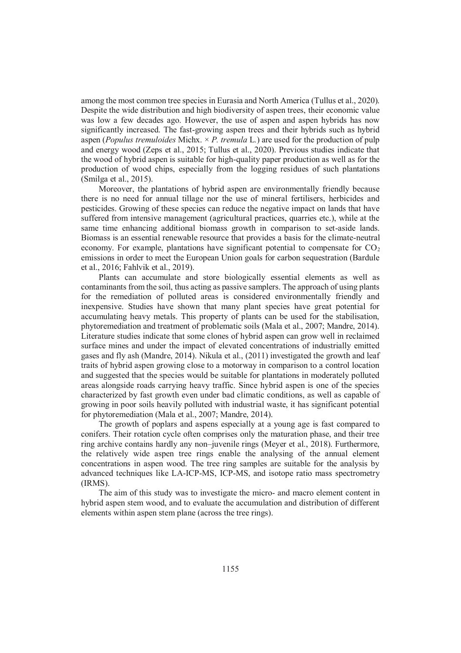among the most common tree species in Eurasia and North America (Tullus et al., 2020). Despite the wide distribution and high biodiversity of aspen trees, their economic value was low a few decades ago. However, the use of aspen and aspen hybrids has now significantly increased. The fast-growing aspen trees and their hybrids such as hybrid aspen (*Populus tremuloides* Michx. × *P. tremula* L*.*) are used for the production of pulp and energy wood (Zeps et al., 2015; Tullus et al., 2020). Previous studies indicate that the wood of hybrid aspen is suitable for high-quality paper production as well as for the production of wood chips, especially from the logging residues of such plantations (Smilga et al., 2015).

Moreover, the plantations of hybrid aspen are environmentally friendly because there is no need for annual tillage nor the use of mineral fertilisers, herbicides and pesticides. Growing of these species can reduce the negative impact on lands that have suffered from intensive management (agricultural practices, quarries etc.), while at the same time enhancing additional biomass growth in comparison to set-aside lands. Biomass is an essential renewable resource that provides a basis for the climate-neutral economy. For example, plantations have significant potential to compensate for  $CO<sub>2</sub>$ emissions in order to meet the European Union goals for carbon sequestration (Bardule et al., 2016; Fahlvik et al., 2019).

Plants can accumulate and store biologically essential elements as well as contaminants from the soil, thus acting as passive samplers. The approach of using plants for the remediation of polluted areas is considered environmentally friendly and inexpensive. Studies have shown that many plant species have great potential for accumulating heavy metals. This property of plants can be used for the stabilisation, phytoremediation and treatment of problematic soils (Mala et al., 2007; Mandre, 2014). Literature studies indicate that some clones of hybrid aspen can grow well in reclaimed surface mines and under the impact of elevated concentrations of industrially emitted gases and fly ash (Mandre, 2014). Nikula et al., (2011) investigated the growth and leaf traits of hybrid aspen growing close to a motorway in comparison to a control location and suggested that the species would be suitable for plantations in moderately polluted areas alongside roads carrying heavy traffic. Since hybrid aspen is one of the species characterized by fast growth even under bad climatic conditions, as well as capable of growing in poor soils heavily polluted with industrial waste, it has significant potential for phytoremediation (Mala et al., 2007; Mandre, 2014).

The growth of poplars and aspens especially at a young age is fast compared to conifers. Their rotation cycle often comprises only the maturation phase, and their tree ring archive contains hardly any non–juvenile rings (Meyer et al., 2018). Furthermore, the relatively wide aspen tree rings enable the analysing of the annual element concentrations in aspen wood. The tree ring samples are suitable for the analysis by advanced techniques like LA-ICP-MS, ICP-MS, and isotope ratio mass spectrometry (IRMS).

The aim of this study was to investigate the micro- and macro element content in hybrid aspen stem wood, and to evaluate the accumulation and distribution of different elements within aspen stem plane (across the tree rings).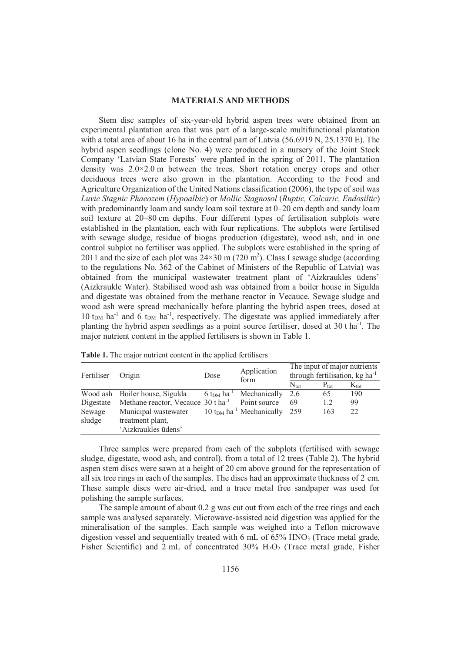#### **MATERIALS AND METHODS**

Stem disc samples of six-year-old hybrid aspen trees were obtained from an experimental plantation area that was part of a large-scale multifunctional plantation with a total area of about 16 ha in the central part of Latvia (56.6919 N, 25.1370 E). The hybrid aspen seedlings (clone No. 4) were produced in a nursery of the Joint Stock Company 'Latvian State Forests' were planted in the spring of 2011. The plantation density was 2.0×2.0 m between the trees. Short rotation energy crops and other deciduous trees were also grown in the plantation. According to the Food and Agriculture Organization of the United Nations classification (2006), the type of soil was *Luvic Stagnic Phaeozem* (*Hypoalbic*) or *Mollic Stagnosol* (*Ruptic, Calcaric, Endosiltic*) with predominantly loam and sandy loam soil texture at 0–20 cm depth and sandy loam soil texture at 20–80 cm depths. Four different types of fertilisation subplots were established in the plantation, each with four replications. The subplots were fertilised with sewage sludge, residue of biogas production (digestate), wood ash, and in one control subplot no fertiliser was applied. The subplots were established in the spring of 2011 and the size of each plot was  $24 \times 30$  m (720 m<sup>2</sup>). Class I sewage sludge (according to the regulations No. 362 of the Cabinet of Ministers of the Republic of Latvia) was obtained from the municipal wastewater treatment plant of 'Aizkraukles ūdens' (Aizkraukle Water). Stabilised wood ash was obtained from a boiler house in Sigulda and digestate was obtained from the methane reactor in Vecauce. Sewage sludge and wood ash were spread mechanically before planting the hybrid aspen trees, dosed at  $10$  t<sub>DM</sub> ha<sup>-1</sup> and 6 t<sub>DM</sub> ha<sup>-1</sup>, respectively. The digestate was applied immediately after planting the hybrid aspen seedlings as a point source fertiliser, dosed at 30 t ha-1. The major nutrient content in the applied fertilisers is shown in Table 1.

| Fertiliser | Origin                                                      | Dose                               | Application<br>form                       | The input of major nutrients<br>through fertilisation, kg ha <sup>-1</sup> |                  |                  |  |  |
|------------|-------------------------------------------------------------|------------------------------------|-------------------------------------------|----------------------------------------------------------------------------|------------------|------------------|--|--|
|            |                                                             |                                    |                                           | $N_{\rm tot}$                                                              | $P_{\text{tot}}$ | $K_{\text{tot}}$ |  |  |
|            | Wood ash Boiler house, Sigulda                              | 6 t <sub>DM</sub> ha <sup>-1</sup> | Mechanically                              | 2.6                                                                        | 65               | 190              |  |  |
| Digestate  | Methane reactor, Vecauce 30 t ha <sup>-1</sup> Point source |                                    |                                           | 69                                                                         | 1.2              | 99               |  |  |
| Sewage     | Municipal wastewater                                        |                                    | 10 $t_{DM}$ ha <sup>-1</sup> Mechanically | 259                                                                        | 163              | 22               |  |  |
| sludge     | treatment plant,                                            |                                    |                                           |                                                                            |                  |                  |  |  |
|            | 'Aizkraukles ūdens'                                         |                                    |                                           |                                                                            |                  |                  |  |  |

**Table 1.** The major nutrient content in the applied fertilisers

Three samples were prepared from each of the subplots (fertilised with sewage sludge, digestate, wood ash, and control), from a total of 12 trees (Table 2). The hybrid aspen stem discs were sawn at a height of 20 cm above ground for the representation of all six tree rings in each of the samples. The discs had an approximate thickness of 2 cm. These sample discs were air-dried, and a trace metal free sandpaper was used for polishing the sample surfaces.

The sample amount of about 0.2 g was cut out from each of the tree rings and each sample was analysed separately. Microwave-assisted acid digestion was applied for the mineralisation of the samples. Each sample was weighed into a Teflon microwave digestion vessel and sequentially treated with 6 mL of 65% HNO3 (Trace metal grade, Fisher Scientific) and  $\overline{2}$  mL of concentrated 30% H<sub>2</sub>O<sub>2</sub> (Trace metal grade, Fisher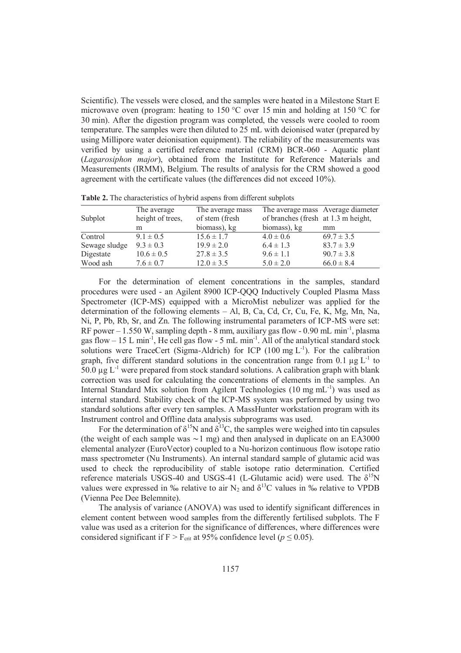Scientific). The vessels were closed, and the samples were heated in a Milestone Start E microwave oven (program: heating to 150 °C over 15 min and holding at 150 °C for 30 min). After the digestion program was completed, the vessels were cooled to room temperature. The samples were then diluted to 25 mL with deionised water (prepared by using Millipore water deionisation equipment). The reliability of the measurements was verified by using a certified reference material (CRM) BCR-060 - Aquatic plant (*Lagarosiphon major*), obtained from the Institute for Reference Materials and Measurements (IRMM), Belgium. The results of analysis for the CRM showed a good agreement with the certificate values (the differences did not exceed 10%).

| Subplot       | The average<br>height of trees, | The average mass<br>of stem (fresh | The average mass Average diameter<br>of branches (fresh at 1.3 m height, |                |
|---------------|---------------------------------|------------------------------------|--------------------------------------------------------------------------|----------------|
|               | m                               | biomass), kg                       | biomass), kg                                                             | mm             |
| Control       | $9.1 \pm 0.5$                   | $15.6 \pm 1.7$                     | $4.0 \pm 0.6$                                                            | $69.7 \pm 3.5$ |
| Sewage sludge | $9.3 \pm 0.3$                   | $19.9 \pm 2.0$                     | $6.4 \pm 1.3$                                                            | $83.7 \pm 3.9$ |
| Digestate     | $10.6 \pm 0.5$                  | $27.8 \pm 3.5$                     | $9.6 \pm 1.1$                                                            | $90.7 \pm 3.8$ |
| Wood ash      | $7.6 \pm 0.7$                   | $12.0 \pm 3.5$                     | $5.0 \pm 2.0$                                                            | $66.0 \pm 8.4$ |

**Table 2.** The characteristics of hybrid aspens from different subplots

For the determination of element concentrations in the samples, standard procedures were used - an Agilent 8900 ICP-QQQ Inductively Coupled Plasma Mass Spectrometer (ICP-MS) equipped with a MicroMist nebulizer was applied for the determination of the following elements – Al, B, Ca, Cd, Cr, Cu, Fe, K, Mg, Mn, Na, Ni, P, Pb, Rb, Sr, and Zn. The following instrumental parameters of ICP-MS were set: RF power – 1.550 W, sampling depth - 8 mm, auxiliary gas flow - 0.90 mL min-1, plasma gas flow  $-15$  L min<sup>-1</sup>, He cell gas flow - 5 mL min<sup>-1</sup>. All of the analytical standard stock solutions were TraceCert (Sigma-Aldrich) for ICP (100 mg  $L^{-1}$ ). For the calibration graph, five different standard solutions in the concentration range from 0.1  $\mu$ g L<sup>-1</sup> to 50.0  $\mu$ g L<sup>-1</sup> were prepared from stock standard solutions. A calibration graph with blank correction was used for calculating the concentrations of elements in the samples. An Internal Standard Mix solution from Agilent Technologies (10 mg mL<sup>-1</sup>) was used as internal standard. Stability check of the ICP-MS system was performed by using two standard solutions after every ten samples. A MassHunter workstation program with its Instrument control and Offline data analysis subprograms was used.

For the determination of  $\delta^{15}N$  and  $\delta^{13}C$ , the samples were weighed into tin capsules (the weight of each sample was  $\sim$ 1 mg) and then analysed in duplicate on an EA3000 elemental analyzer (EuroVector) coupled to a Nu-horizon continuous flow isotope ratio mass spectrometer (Nu Instruments). An internal standard sample of glutamic acid was used to check the reproducibility of stable isotope ratio determination. Certified reference materials USGS-40 and USGS-41 (L-Glutamic acid) were used. The  $\delta^{15}N$ values were expressed in ‰ relative to air N<sub>2</sub> and  $\delta^{13}$ C values in ‰ relative to VPDB (Vienna Pee Dee Belemnite).

The analysis of variance (ANOVA) was used to identify significant differences in element content between wood samples from the differently fertilised subplots. The F value was used as a criterion for the significance of differences, where differences were considered significant if F > F<sub>crit</sub> at 95% confidence level ( $p \le 0.05$ ).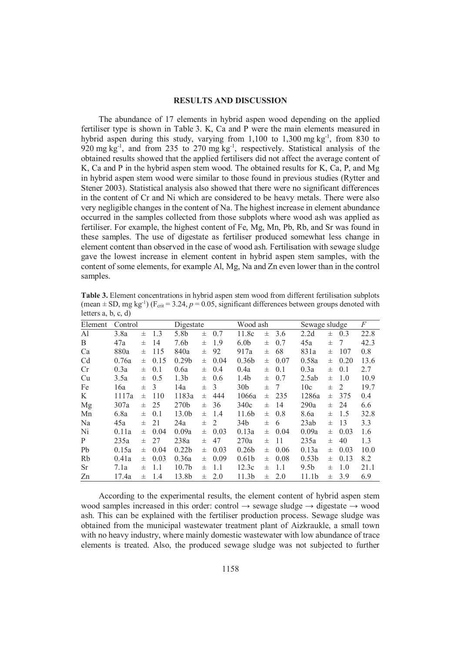## **RESULTS AND DISCUSSION**

The abundance of 17 elements in hybrid aspen wood depending on the applied fertiliser type is shown in Table 3. K, Ca and P were the main elements measured in hybrid aspen during this study, varying from  $1,100$  to  $1,300$  mg kg<sup>-1</sup>, from 830 to  $920 \text{ mg kg}^{-1}$ , and from 235 to 270 mg kg<sup>-1</sup>, respectively. Statistical analysis of the obtained results showed that the applied fertilisers did not affect the average content of K, Ca and P in the hybrid aspen stem wood. The obtained results for K, Ca, P, and Mg in hybrid aspen stem wood were similar to those found in previous studies (Rytter and Stener 2003). Statistical analysis also showed that there were no significant differences in the content of Cr and Ni which are considered to be heavy metals. There were also very negligible changes in the content of Na. The highest increase in element abundance occurred in the samples collected from those subplots where wood ash was applied as fertiliser. For example, the highest content of Fe, Mg, Mn, Pb, Rb, and Sr was found in these samples. The use of digestate as fertiliser produced somewhat less change in element content than observed in the case of wood ash. Fertilisation with sewage sludge gave the lowest increase in element content in hybrid aspen stem samples, with the content of some elements, for example Al, Mg, Na and Zn even lower than in the control samples.

| <b>Table 3.</b> Element concentrations in hybrid aspen stem wood from different fertilisation subplots                         |
|--------------------------------------------------------------------------------------------------------------------------------|
| (mean $\pm$ SD, mg kg <sup>-1</sup> ) (F <sub>crit</sub> = 3.24, p = 0.05, significant differences between groups denoted with |
| letters $a, b, c, d$                                                                                                           |

| Element        | Control |   |      | Digestate         |   |      | Wood ash          |   |      | Sewage sludge     |   |      | F    |
|----------------|---------|---|------|-------------------|---|------|-------------------|---|------|-------------------|---|------|------|
| Al             | 3.8a    | 士 | 1.3  | 5.8b              | 士 | 0.7  | 11.8c             | 士 | 3.6  | 2.2d              | 士 | 0.3  | 22.8 |
| B              | 47a     | 士 | 14   | 7.6b              | 士 | 1.9  | 6.0 <sub>b</sub>  | 士 | 0.7  | 45a               | 士 | 7    | 42.3 |
| Ca             | 880a    | 士 | 115  | 840a              | 士 | 92   | 917a              | 士 | 68   | 831a              | 士 | 107  | 0.8  |
| C <sub>d</sub> | 0.76a   | 士 | 0.15 | 0.29 <sub>b</sub> | 士 | 0.04 | 0.36 <sub>b</sub> | 士 | 0.07 | 0.58a             | 士 | 0.20 | 13.6 |
| Cr             | 0.3a    | 士 | 0.1  | 0.6a              | 士 | 0.4  | 0.4a              | 士 | 0.1  | 0.3a              | 士 | 0.1  | 2.7  |
| Cu             | 3.5a    | 士 | 0.5  | 1.3 <sub>b</sub>  | 士 | 0.6  | 1.4b              | 士 | 0.7  | 2.5ab             | 士 | 1.0  | 10.9 |
| Fe             | 16a     | 士 | 3    | 14a               | 士 | 3    | 30 <sub>b</sub>   | 士 | 7    | 10c               | 士 | 2    | 19.7 |
| K              | 1117a   | 士 | 110  | 1183a             | 士 | 444  | 1066a             | 士 | 235  | 1286a             | 士 | 375  | 0.4  |
| Mg             | 307a    | 士 | 25   | 270 <sub>b</sub>  | 士 | 36   | 340c              | 士 | 14   | 290a              | 士 | 24   | 6.6  |
| Mn             | 6.8a    | 士 | 0.1  | 13.0 <sub>b</sub> | 士 | 1.4  | 11.6b             | 士 | 0.8  | 8.6a              | 士 | 1.5  | 32.8 |
| Na             | 45a     | 士 | 21   | 24a               | 士 | 2    | 34 <sub>b</sub>   | 士 | 6    | 23ab              | 士 | 13   | 3.3  |
| Ni             | 0.11a   | 士 | 0.04 | 0.09a             | 士 | 0.03 | 0.13a             | 士 | 0.04 | 0.09a             | 士 | 0.03 | 1.6  |
| P              | 235a    | 士 | 27   | 238a              | 士 | 47   | 270a              | 士 | 11   | 235a              | 士 | 40   | 1.3  |
| Pb             | 0.15a   | 士 | 0.04 | 0.22 <sub>b</sub> | 士 | 0.03 | 0.26 <sub>b</sub> | 士 | 0.06 | 0.13a             | 士 | 0.03 | 10.0 |
| Rb             | 0.41a   | 士 | 0.03 | 0.36a             | 士 | 0.09 | 0.61 <sub>b</sub> | 士 | 0.08 | 0.53 <sub>b</sub> | 士 | 0.13 | 8.2  |
| <sub>Sr</sub>  | 7.1a    | 士 | 1.1  | 10.7 <sub>b</sub> | 士 | 1.1  | 12.3c             | 士 | 1.1  | 9.5 <sub>b</sub>  | 士 | 1.0  | 21.1 |
| Zn             | 17.4a   | 士 | 1.4  | 13.8b             | 士 | 2.0  | 11.3 <sub>b</sub> | 士 | 2.0  | 11.1 <sub>b</sub> | 士 | 3.9  | 6.9  |

According to the experimental results, the element content of hybrid aspen stem wood samples increased in this order: control  $\rightarrow$  sewage sludge  $\rightarrow$  digestate  $\rightarrow$  wood ash. This can be explained with the fertiliser production process. Sewage sludge was obtained from the municipal wastewater treatment plant of Aizkraukle, a small town with no heavy industry, where mainly domestic wastewater with low abundance of trace elements is treated. Also, the produced sewage sludge was not subjected to further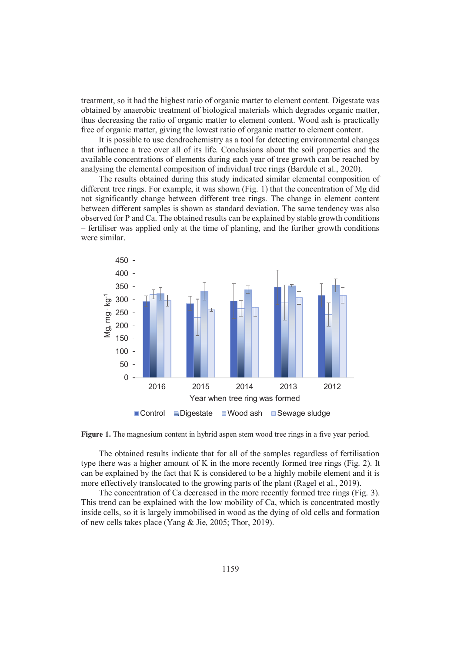treatment, so it had the highest ratio of organic matter to element content. Digestate was obtained by anaerobic treatment of biological materials which degrades organic matter, thus decreasing the ratio of organic matter to element content. Wood ash is practically free of organic matter, giving the lowest ratio of organic matter to element content.

It is possible to use dendrochemistry as a tool for detecting environmental changes that influence a tree over all of its life. Conclusions about the soil properties and the available concentrations of elements during each year of tree growth can be reached by analysing the elemental composition of individual tree rings (Bardule et al., 2020).

The results obtained during this study indicated similar elemental composition of different tree rings. For example, it was shown (Fig. 1) that the concentration of Mg did not significantly change between different tree rings. The change in element content between different samples is shown as standard deviation. The same tendency was also observed for P and Ca. The obtained results can be explained by stable growth conditions – fertiliser was applied only at the time of planting, and the further growth conditions were similar.



**Figure 1.** The magnesium content in hybrid aspen stem wood tree rings in a five year period.

The obtained results indicate that for all of the samples regardless of fertilisation type there was a higher amount of K in the more recently formed tree rings (Fig. 2). It can be explained by the fact that  $K$  is considered to be a highly mobile element and it is more effectively translocated to the growing parts of the plant (Ragel et al., 2019).

The concentration of Ca decreased in the more recently formed tree rings (Fig. 3). This trend can be explained with the low mobility of Ca, which is concentrated mostly inside cells, so it is largely immobilised in wood as the dying of old cells and formation of new cells takes place (Yang & Jie, 2005; Thor, 2019).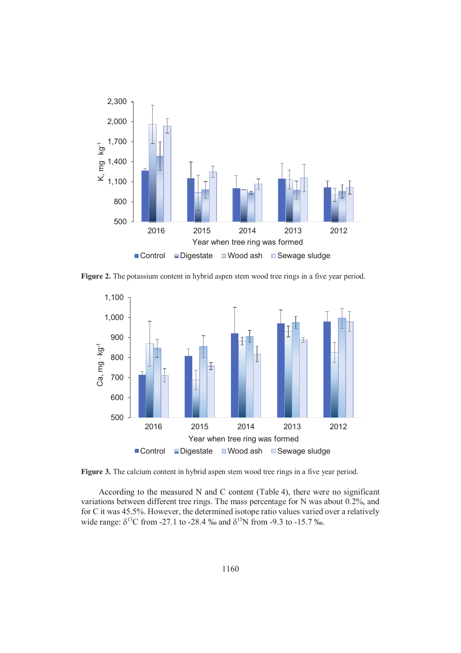

Figure 2. The potassium content in hybrid aspen stem wood tree rings in a five year period.



Figure 3. The calcium content in hybrid aspen stem wood tree rings in a five year period.

According to the measured N and C content (Table 4), there were no significant variations between different tree rings. The mass percentage for N was about 0.2%, and for C it was 45.5%. However, the determined isotope ratio values varied over a relatively wide range:  $\delta^{13}$ C from -27.1 to -28.4 ‰ and  $\delta^{15}$ N from -9.3 to -15.7 ‰.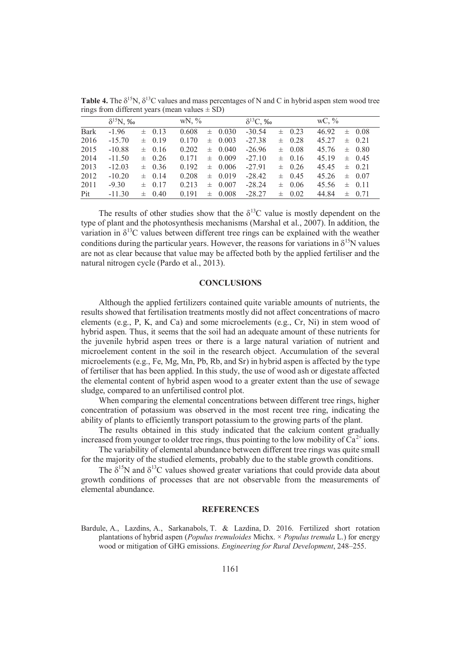|             | $\delta^{15}$ N, ‰ |       |            | WN, % |          |             | $\delta^{13}C$ , ‰ |          |            | WC, % |  |            |
|-------------|--------------------|-------|------------|-------|----------|-------------|--------------------|----------|------------|-------|--|------------|
| <b>Bark</b> | $-1.96$            | $\pm$ | 0.13       | 0.608 | $^{\pm}$ | 0.030       | $-30.54$           | $^{\pm}$ | 0.23       | 46.92 |  | $\pm$ 0.08 |
| 2016        | $-15.70$           |       | $\pm$ 0.19 | 0.170 | $_{\pm}$ | 0.003       | $-27.38$           | 士        | 0.28       | 45 27 |  | $\pm$ 0.21 |
| 2015        | $-10.88$           |       | $\pm$ 0.16 | 0.202 |          | $\pm 0.040$ | $-26.96$           |          | $\pm$ 0.08 | 45 76 |  | $\pm$ 0.80 |
| 2014        | $-11.50$           |       | $\pm$ 0.26 | 0.171 |          | $\pm$ 0.009 | $-27.10$           |          | $\pm$ 0.16 | 45 19 |  | $\pm$ 0.45 |
| 2013        | $-12.03$           |       | $\pm$ 0.36 | 0.192 |          | $\pm$ 0.006 | $-2791$            |          | $\pm$ 0.26 | 4545  |  | $\pm$ 0.21 |
| 2012        | $-10.20$           |       | $\pm$ 0.14 | 0.208 |          | $\pm$ 0.019 | $-28.42$           |          | $\pm$ 0.45 | 45.26 |  | $\pm$ 0.07 |
| 2011        | $-9.30$            |       | $\pm$ 0.17 | 0.213 | $^{\pm}$ | 0.007       | $-28.24$           |          | $\pm$ 0.06 | 45.56 |  | $\pm$ 0.11 |
| Pit         | $-11.30$           |       | $\pm$ 0.40 | 0.191 | 士        | 0.008       | $-28.27$           | 士        | 0.02       | 44.84 |  | $\pm 0.71$ |

**Table 4.** The  $\delta^{15}N$ ,  $\delta^{13}C$  values and mass percentages of N and C in hybrid aspen stem wood tree rings from different years (mean values  $\pm$  SD)

The results of other studies show that the  $\delta^{13}$ C value is mostly dependent on the type of plant and the photosynthesis mechanisms (Marshal et al., 2007). In addition, the variation in  $\delta^{13}$ C values between different tree rings can be explained with the weather conditions during the particular years. However, the reasons for variations in  $\delta^{15}N$  values are not as clear because that value may be affected both by the applied fertiliser and the natural nitrogen cycle (Pardo et al., 2013).

#### **CONCLUSIONS**

Although the applied fertilizers contained quite variable amounts of nutrients, the results showed that fertilisation treatments mostly did not affect concentrations of macro elements (e.g., P, K, and Ca) and some microelements (e.g., Cr, Ni) in stem wood of hybrid aspen. Thus, it seems that the soil had an adequate amount of these nutrients for the juvenile hybrid aspen trees or there is a large natural variation of nutrient and microelement content in the soil in the research object. Accumulation of the several microelements (e.g., Fe, Mg, Mn, Pb, Rb, and Sr) in hybrid aspen is affected by the type of fertiliser that has been applied. In this study, the use of wood ash or digestate affected the elemental content of hybrid aspen wood to a greater extent than the use of sewage sludge, compared to an unfertilised control plot.

When comparing the elemental concentrations between different tree rings, higher concentration of potassium was observed in the most recent tree ring, indicating the ability of plants to efficiently transport potassium to the growing parts of the plant.

The results obtained in this study indicated that the calcium content gradually increased from younger to older tree rings, thus pointing to the low mobility of  $Ca^{2+}$  ions.

The variability of elemental abundance between different tree rings was quite small for the majority of the studied elements, probably due to the stable growth conditions.

The  $\delta^{15}N$  and  $\delta^{13}C$  values showed greater variations that could provide data about growth conditions of processes that are not observable from the measurements of elemental abundance.

#### **REFERENCES**

Bardule, A., Lazdins, A., Sarkanabols, T. & Lazdina, D. 2016. Fertilized short rotation plantations of hybrid aspen (*Populus tremuloides* Michx. × *Populus tremula* L.) for energy wood or mitigation of GHG emissions. *Engineering for Rural Development*, 248–255.